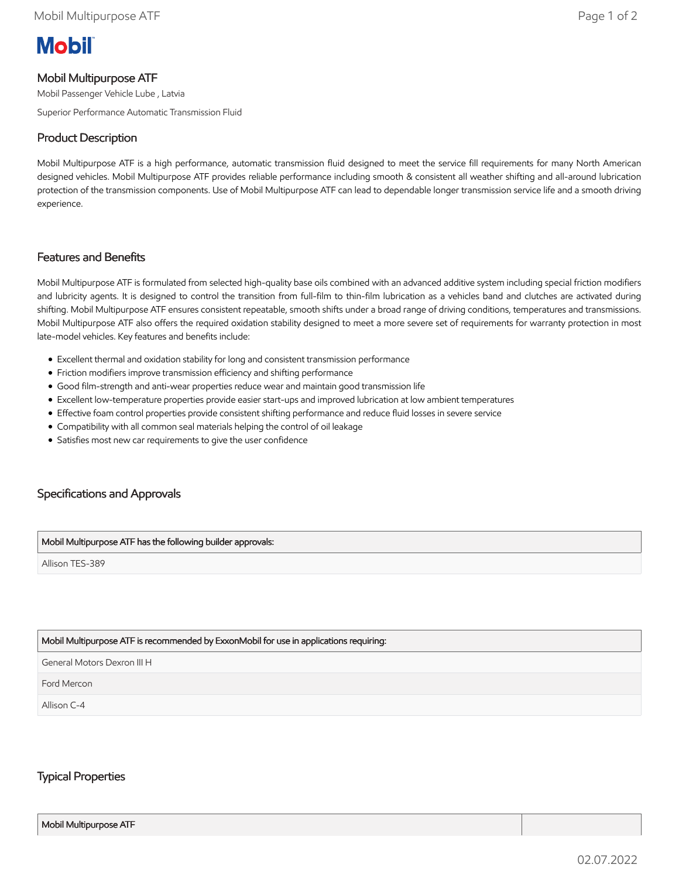# **Mobil**

## Mobil Multipurpose ATF

Mobil Passenger Vehicle Lube , Latvia

Superior Performance Automatic Transmission Fluid

## Product Description

Mobil Multipurpose ATF is a high performance, automatic transmission fluid designed to meet the service fill requirements for many North American designed vehicles. Mobil Multipurpose ATF provides reliable performance including smooth & consistent all weather shifting and all-around lubrication protection of the transmission components. Use of Mobil Multipurpose ATF can lead to dependable longer transmission service life and a smooth driving experience.

#### Features and Benefits

Mobil Multipurpose ATF is formulated from selected high-quality base oils combined with an advanced additive system including special friction modifiers and lubricity agents. It is designed to control the transition from full-film to thin-film lubrication as a vehicles band and clutches are activated during shifting. Mobil Multipurpose ATF ensures consistent repeatable, smooth shifts under a broad range of driving conditions, temperatures and transmissions. Mobil Multipurpose ATF also offers the required oxidation stability designed to meet a more severe set of requirements for warranty protection in most late-model vehicles. Key features and benefits include:

- Excellent thermal and oxidation stability for long and consistent transmission performance
- Friction modifiers improve transmission efficiency and shifting performance
- Good film-strength and anti-wear properties reduce wear and maintain good transmission life
- Excellent low-temperature properties provide easier start-ups and improved lubrication at low ambient temperatures
- Effective foam control properties provide consistent shifting performance and reduce fluid losses in severe service
- Compatibility with all common seal materials helping the control of oil leakage
- Satisfies most new car requirements to give the user confidence

# Specifications and Approvals

#### Mobil Multipurpose ATF has the following builder approvals:

Allison TES-389

#### Mobil Multipurpose ATF is recommended by ExxonMobil for use in applications requiring:

General Motors Dexron III H

Ford Mercon

Allison C-4

### Typical Properties